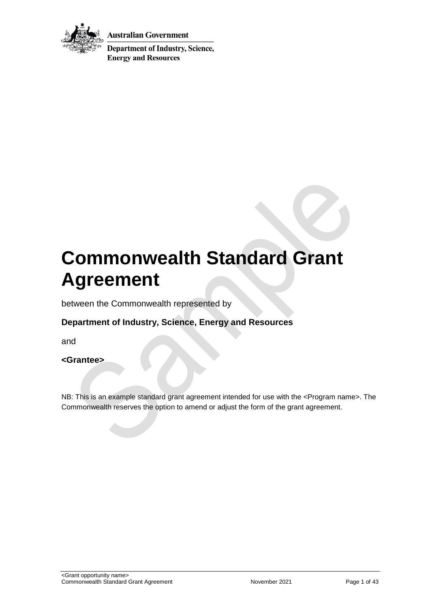

**Australian Government** 

**Department of Industry, Science, Energy and Resources** 

# **Commonwealth Standard Grant Agreement**

between the Commonwealth represented by

## **Department of Industry, Science, Energy and Resources**

and

#### **<Grantee>**

NB: This is an example standard grant agreement intended for use with the <Program name>. The Commonwealth reserves the option to amend or adjust the form of the grant agreement.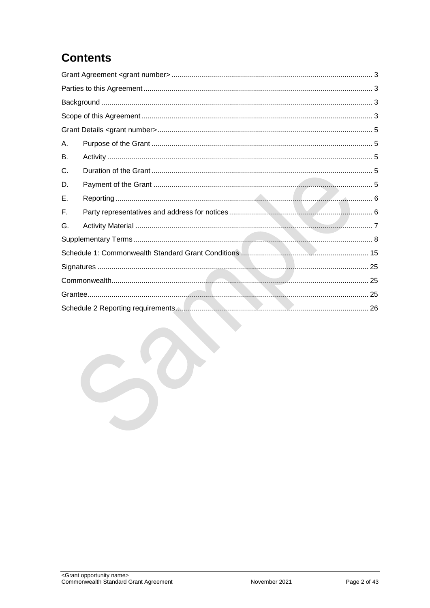## **Contents**

| А. |  |  |  |
|----|--|--|--|
| В. |  |  |  |
| C. |  |  |  |
| D. |  |  |  |
| Е. |  |  |  |
| F. |  |  |  |
| G. |  |  |  |
|    |  |  |  |
|    |  |  |  |
|    |  |  |  |
|    |  |  |  |
|    |  |  |  |
|    |  |  |  |
|    |  |  |  |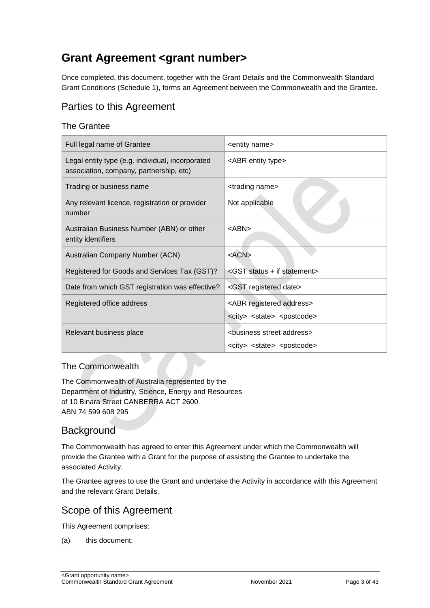## <span id="page-2-0"></span>**Grant Agreement <grant number>**

Once completed, this document, together with the Grant Details and the Commonwealth Standard Grant Conditions (Schedule 1), forms an Agreement between the Commonwealth and the Grantee.

## <span id="page-2-1"></span>Parties to this Agreement

#### The Grantee

| Full legal name of Grantee                                                                  | <entity name=""></entity>                                                                          |
|---------------------------------------------------------------------------------------------|----------------------------------------------------------------------------------------------------|
| Legal entity type (e.g. individual, incorporated<br>association, company, partnership, etc) | <abr entity="" type=""></abr>                                                                      |
| Trading or business name                                                                    | <trading name=""></trading>                                                                        |
| Any relevant licence, registration or provider<br>number                                    | Not applicable                                                                                     |
| Australian Business Number (ABN) or other<br>entity identifiers                             | <abn></abn>                                                                                        |
| Australian Company Number (ACN)                                                             | $<$ ACN $>$                                                                                        |
| Registered for Goods and Services Tax (GST)?                                                | <gst +="" if="" statement="" status=""></gst>                                                      |
| Date from which GST registration was effective?                                             | <gst date="" registered=""></gst>                                                                  |
| Registered office address                                                                   | <abr address="" registered=""><br/><city> <state> <postcode></postcode></state></city></abr>       |
| Relevant business place                                                                     | <business address="" street=""><br/><city> <state> <postcode></postcode></state></city></business> |

#### The Commonwealth

The Commonwealth of Australia represented by the Department of Industry, Science, Energy and Resources of 10 Binara Street CANBERRA ACT 2600 ABN 74 599 608 295

## <span id="page-2-2"></span>**Background**

The Commonwealth has agreed to enter this Agreement under which the Commonwealth will provide the Grantee with a Grant for the purpose of assisting the Grantee to undertake the associated Activity.

The Grantee agrees to use the Grant and undertake the Activity in accordance with this Agreement and the relevant Grant Details.

## <span id="page-2-3"></span>Scope of this Agreement

This Agreement comprises:

(a) this document;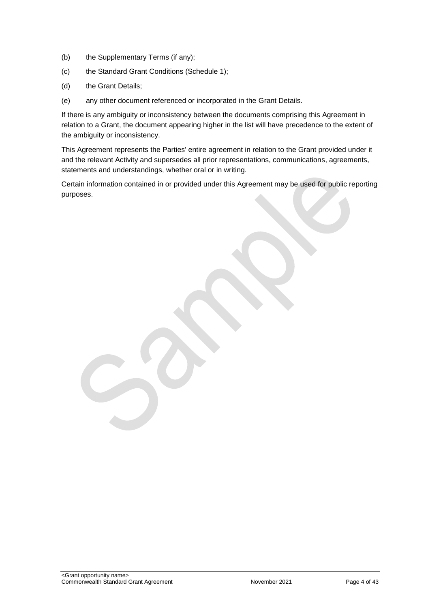- (b) the Supplementary Terms (if any);
- (c) the Standard Grant Conditions (Schedule 1);
- (d) the Grant Details;
- (e) any other document referenced or incorporated in the Grant Details.

If there is any ambiguity or inconsistency between the documents comprising this Agreement in relation to a Grant, the document appearing higher in the list will have precedence to the extent of the ambiguity or inconsistency.

This Agreement represents the Parties' entire agreement in relation to the Grant provided under it and the relevant Activity and supersedes all prior representations, communications, agreements, statements and understandings, whether oral or in writing.

Certain information contained in or provided under this Agreement may be used for public reporting purposes.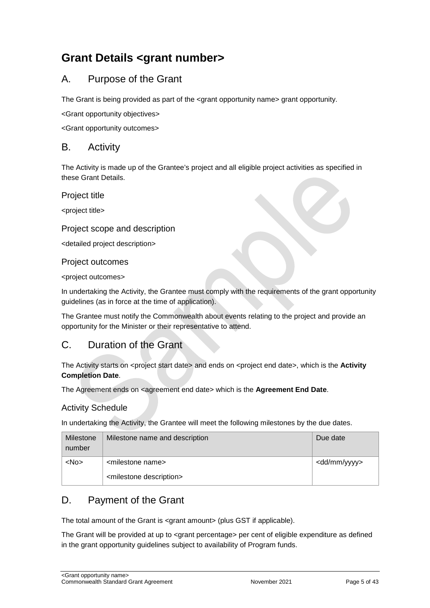## <span id="page-4-0"></span>**Grant Details <grant number>**

## <span id="page-4-1"></span>A. Purpose of the Grant

The Grant is being provided as part of the <grant opportunity name> grant opportunity.

<Grant opportunity objectives>

<Grant opportunity outcomes>

#### <span id="page-4-2"></span>B. Activity

The Activity is made up of the Grantee's project and all eligible project activities as specified in these Grant Details.

Project title

<project title>

#### Project scope and description

<detailed project description>

#### Project outcomes

<project outcomes>

In undertaking the Activity, the Grantee must comply with the requirements of the grant opportunity guidelines (as in force at the time of application).

The Grantee must notify the Commonwealth about events relating to the project and provide an opportunity for the Minister or their representative to attend.

## <span id="page-4-3"></span>C. Duration of the Grant

The Activity starts on <project start date> and ends on <project end date>, which is the **Activity Completion Date**.

The Agreement ends on <agreement end date> which is the **Agreement End Date**.

#### Activity Schedule

In undertaking the Activity, the Grantee will meet the following milestones by the due dates.

| Milestone<br>number | Milestone name and description         | Due date                |
|---------------------|----------------------------------------|-------------------------|
| $<$ No $>$          | <milestone name=""></milestone>        | <dd mm="" yyyy=""></dd> |
|                     | <milestone description=""></milestone> |                         |

## <span id="page-4-4"></span>D. Payment of the Grant

The total amount of the Grant is <grant amount> (plus GST if applicable).

The Grant will be provided at up to <grant percentage> per cent of eligible expenditure as defined in the grant opportunity guidelines subject to availability of Program funds.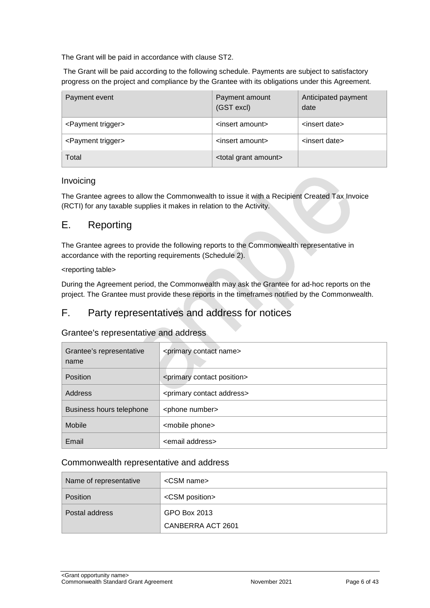The Grant will be paid in accordance with clause [ST2.](#page-7-1)

The Grant will be paid according to the following schedule. Payments are subject to satisfactory progress on the project and compliance by the Grantee with its obligations under this Agreement.

| Payment event                  | Payment amount<br>(GST excl)       | Anticipated payment<br>date |
|--------------------------------|------------------------------------|-----------------------------|
| <payment trigger=""></payment> | <insert amount=""></insert>        | <insert date=""></insert>   |
| <payment trigger=""></payment> | <insert amount=""></insert>        | <insert date=""></insert>   |
| Total                          | <total amount="" grant=""></total> |                             |

#### Invoicing

The Grantee agrees to allow the Commonwealth to issue it with a Recipient Created Tax Invoice (RCTI) for any taxable supplies it makes in relation to the Activity.

#### <span id="page-5-0"></span>E. Reporting

The Grantee agrees to provide the following reports to the Commonwealth representative in accordance with the reporting requirements (Schedule 2).

#### <reporting table>

During the Agreement period, the Commonwealth may ask the Grantee for ad-hoc reports on the project. The Grantee must provide these reports in the timeframes notified by the Commonwealth.

### <span id="page-5-1"></span>F. Party representatives and address for notices

#### Grantee's representative and address

| Grantee's representative<br>name | <primary contact="" name=""></primary>     |
|----------------------------------|--------------------------------------------|
| <b>Position</b>                  | <primary contact="" position=""></primary> |
| Address                          | <primary address="" contact=""></primary>  |
| Business hours telephone         | <phone number=""></phone>                  |
| Mobile                           | <mobile phone=""></mobile>                 |
| Email                            | <email address=""></email>                 |

#### Commonwealth representative and address

| Name of representative | <csm name=""></csm>     |
|------------------------|-------------------------|
| <b>Position</b>        | <csm position=""></csm> |
| Postal address         | GPO Box 2013            |
|                        | CANBERRA ACT 2601       |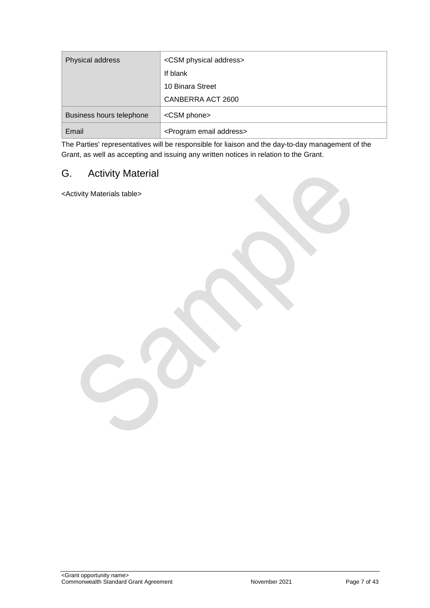| Physical address         | <csm address="" physical=""></csm>      |
|--------------------------|-----------------------------------------|
|                          | If blank                                |
|                          | 10 Binara Street                        |
|                          | CANBERRA ACT 2600                       |
| Business hours telephone | <csm phone=""></csm>                    |
| Email                    | <program address="" email=""></program> |

The Parties' representatives will be responsible for liaison and the day-to-day management of the Grant, as well as accepting and issuing any written notices in relation to the Grant.

## <span id="page-6-0"></span>G. Activity Material

<Activity Materials table>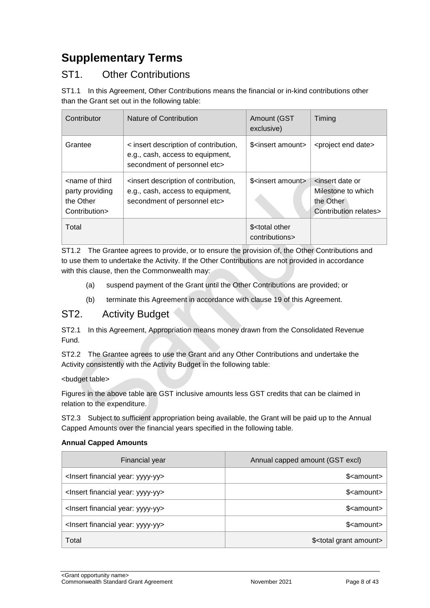## <span id="page-7-0"></span>**Supplementary Terms**

## ST1. Other Contributions

ST1.1 In this Agreement, Other Contributions means the financial or in-kind contributions other than the Grant set out in the following table:

| Contributor                                                                       | Nature of Contribution                                                                                    | Amount (GST<br>exclusive)                       | Timing                                                                                          |
|-----------------------------------------------------------------------------------|-----------------------------------------------------------------------------------------------------------|-------------------------------------------------|-------------------------------------------------------------------------------------------------|
| Grantee                                                                           | < insert description of contribution,<br>e.g., cash, access to equipment,<br>secondment of personnel etc> | \$ <insert amount=""></insert>                  | <project date="" end=""></project>                                                              |
| <name of="" third<br="">party providing<br/>the Other<br/>Contribution&gt;</name> | sinsert description of contribution,<br>e.g., cash, access to equipment,<br>secondment of personnel etc>  | \$ <insert amount=""></insert>                  | <insert date="" or<br="">Milestone to which<br/>the Other<br/>Contribution relates&gt;</insert> |
| Total                                                                             |                                                                                                           | \$ <total other<br="">contributions&gt;</total> |                                                                                                 |

ST1.2 The Grantee agrees to provide, or to ensure the provision of, the Other Contributions and to use them to undertake the Activity. If the Other Contributions are not provided in accordance with this clause, then the Commonwealth may:

- (a) suspend payment of the Grant until the Other Contributions are provided; or
- (b) terminate this Agreement in accordance with clause 19 of this Agreement.

### <span id="page-7-1"></span>ST2. Activity Budget

ST2.1 In this Agreement, Appropriation means money drawn from the Consolidated Revenue Fund.

ST2.2 The Grantee agrees to use the Grant and any Other Contributions and undertake the Activity consistently with the Activity Budget in the following table:

#### <budget table>

Figures in the above table are GST inclusive amounts less GST credits that can be claimed in relation to the expenditure.

ST2.3 Subject to sufficient appropriation being available, the Grant will be paid up to the Annual Capped Amounts over the financial years specified in the following table.

#### **Annual Capped Amounts**

| Financial year                                     | Annual capped amount (GST excl)       |
|----------------------------------------------------|---------------------------------------|
| <lnsert financial="" year:="" yyyy-yy=""></lnsert> | \$ <amount></amount>                  |
| <lnsert financial="" year:="" yyyy-yy=""></lnsert> | \$ <amount></amount>                  |
| <lnsert financial="" year:="" yyyy-yy=""></lnsert> | \$ <amount></amount>                  |
| <lnsert financial="" year:="" yyyy-yy=""></lnsert> | \$ <amount></amount>                  |
| Total                                              | \$ <total amount="" grant=""></total> |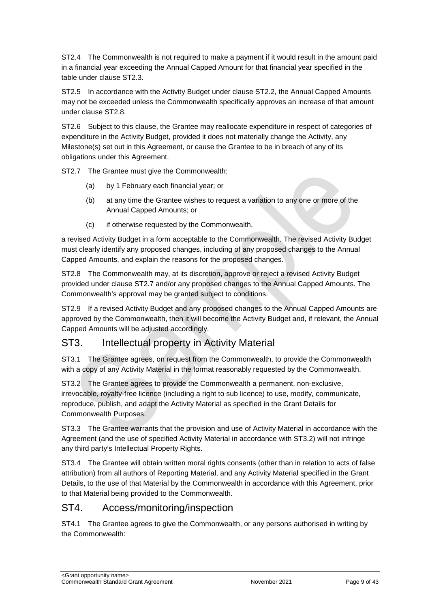ST2.4 The Commonwealth is not required to make a payment if it would result in the amount paid in a financial year exceeding the Annual Capped Amount for that financial year specified in the table under clause ST2.3.

ST2.5 In accordance with the Activity Budget under clause ST2.2, the Annual Capped Amounts may not be exceeded unless the Commonwealth specifically approves an increase of that amount under clause ST2.8.

ST2.6 Subject to this clause, the Grantee may reallocate expenditure in respect of categories of expenditure in the Activity Budget, provided it does not materially change the Activity, any Milestone(s) set out in this Agreement, or cause the Grantee to be in breach of any of its obligations under this Agreement.

ST2.7 The Grantee must give the Commonwealth:

- (a) by 1 February each financial year; or
- (b) at any time the Grantee wishes to request a variation to any one or more of the Annual Capped Amounts; or
- (c) if otherwise requested by the Commonwealth,

a revised Activity Budget in a form acceptable to the Commonwealth. The revised Activity Budget must clearly identify any proposed changes, including of any proposed changes to the Annual Capped Amounts, and explain the reasons for the proposed changes.

ST2.8 The Commonwealth may, at its discretion, approve or reject a revised Activity Budget provided under clause ST2.7 and/or any proposed changes to the Annual Capped Amounts. The Commonwealth's approval may be granted subject to conditions.

ST2.9 If a revised Activity Budget and any proposed changes to the Annual Capped Amounts are approved by the Commonwealth, then it will become the Activity Budget and, if relevant, the Annual Capped Amounts will be adjusted accordingly.

## ST3. Intellectual property in Activity Material

ST3.1 The Grantee agrees, on request from the Commonwealth, to provide the Commonwealth with a copy of any Activity Material in the format reasonably requested by the Commonwealth.

ST3.2 The Grantee agrees to provide the Commonwealth a permanent, non-exclusive, irrevocable, royalty-free licence (including a right to sub licence) to use, modify, communicate, reproduce, publish, and adapt the Activity Material as specified in the Grant Details for Commonwealth Purposes.

ST3.3 The Grantee warrants that the provision and use of Activity Material in accordance with the Agreement (and the use of specified Activity Material in accordance with ST3.2) will not infringe any third party's Intellectual Property Rights.

ST3.4 The Grantee will obtain written moral rights consents (other than in relation to acts of false attribution) from all authors of Reporting Material, and any Activity Material specified in the Grant Details, to the use of that Material by the Commonwealth in accordance with this Agreement, prior to that Material being provided to the Commonwealth.

## ST4. Access/monitoring/inspection

ST4.1 The Grantee agrees to give the Commonwealth, or any persons authorised in writing by the Commonwealth: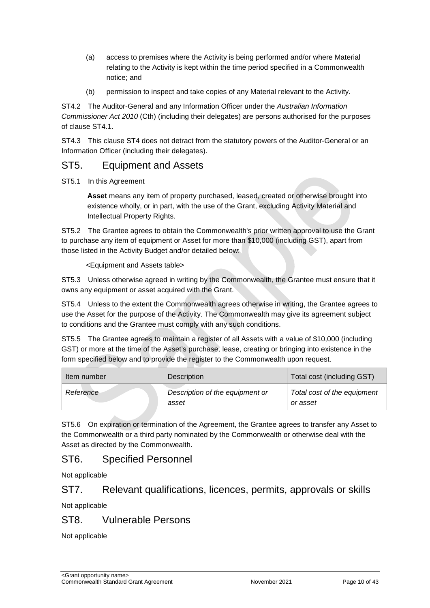- (a) access to premises where the Activity is being performed and/or where Material relating to the Activity is kept within the time period specified in a Commonwealth notice; and
- (b) permission to inspect and take copies of any Material relevant to the Activity.

ST4.2 The Auditor-General and any Information Officer under the *Australian Information Commissioner Act 2010* (Cth) (including their delegates) are persons authorised for the purposes of clause ST4.1.

ST4.3 This clause ST4 does not detract from the statutory powers of the Auditor-General or an Information Officer (including their delegates).

### ST5. Equipment and Assets

ST5.1 In this Agreement

**Asset** means any item of property purchased, leased, created or otherwise brought into existence wholly, or in part, with the use of the Grant, excluding Activity Material and Intellectual Property Rights.

ST5.2 The Grantee agrees to obtain the Commonwealth's prior written approval to use the Grant to purchase any item of equipment or Asset for more than \$10,000 (including GST), apart from those listed in the Activity Budget and/or detailed below:

<Equipment and Assets table>

ST5.3 Unless otherwise agreed in writing by the Commonwealth, the Grantee must ensure that it owns any equipment or asset acquired with the Grant.

ST5.4 Unless to the extent the Commonwealth agrees otherwise in writing, the Grantee agrees to use the Asset for the purpose of the Activity. The Commonwealth may give its agreement subject to conditions and the Grantee must comply with any such conditions.

ST5.5 The Grantee agrees to maintain a register of all Assets with a value of \$10,000 (including GST) or more at the time of the Asset's purchase, lease, creating or bringing into existence in the form specified below and to provide the register to the Commonwealth upon request.

| Item number | Description                              | Total cost (including GST)              |
|-------------|------------------------------------------|-----------------------------------------|
| Reference   | Description of the equipment or<br>asset | Total cost of the equipment<br>or asset |

ST5.6 On expiration or termination of the Agreement, the Grantee agrees to transfer any Asset to the Commonwealth or a third party nominated by the Commonwealth or otherwise deal with the Asset as directed by the Commonwealth.

## ST6. Specified Personnel

Not applicable

### ST7. Relevant qualifications, licences, permits, approvals or skills

Not applicable

### ST8. Vulnerable Persons

Not applicable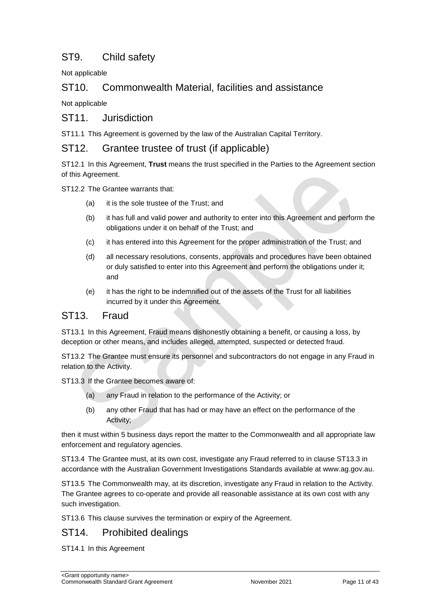## ST9. Child safety

Not applicable

### ST10. Commonwealth Material, facilities and assistance

Not applicable

#### ST11. Jurisdiction

ST11.1 This Agreement is governed by the law of the Australian Capital Territory.

#### ST12. Grantee trustee of trust (if applicable)

ST12.1 In this Agreement, **Trust** means the trust specified in the Parties to the Agreement section of this Agreement.

ST12.2 The Grantee warrants that:

- (a) it is the sole trustee of the Trust; and
- (b) it has full and valid power and authority to enter into this Agreement and perform the obligations under it on behalf of the Trust; and
- (c) it has entered into this Agreement for the proper administration of the Trust; and
- (d) all necessary resolutions, consents, approvals and procedures have been obtained or duly satisfied to enter into this Agreement and perform the obligations under it; and
- (e) it has the right to be indemnified out of the assets of the Trust for all liabilities incurred by it under this Agreement.

### ST13. Fraud

ST13.1 In this Agreement, Fraud means dishonestly obtaining a benefit, or causing a loss, by deception or other means, and includes alleged, attempted, suspected or detected fraud.

ST13.2 The Grantee must ensure its personnel and subcontractors do not engage in any Fraud in relation to the Activity.

ST13.3 If the Grantee becomes aware of:

- (a) any Fraud in relation to the performance of the Activity; or
- (b) any other Fraud that has had or may have an effect on the performance of the Activity;

then it must within 5 business days report the matter to the Commonwealth and all appropriate law enforcement and regulatory agencies.

ST13.4 The Grantee must, at its own cost, investigate any Fraud referred to in clause ST13.3 in accordance with the Australian Government Investigations Standards available at [www.ag.gov.au.](http://www.ag.gov.au/)

ST13.5 The Commonwealth may, at its discretion, investigate any Fraud in relation to the Activity. The Grantee agrees to co-operate and provide all reasonable assistance at its own cost with any such investigation.

ST13.6 This clause survives the termination or expiry of the Agreement.

#### ST14. Prohibited dealings

ST14.1 In this Agreement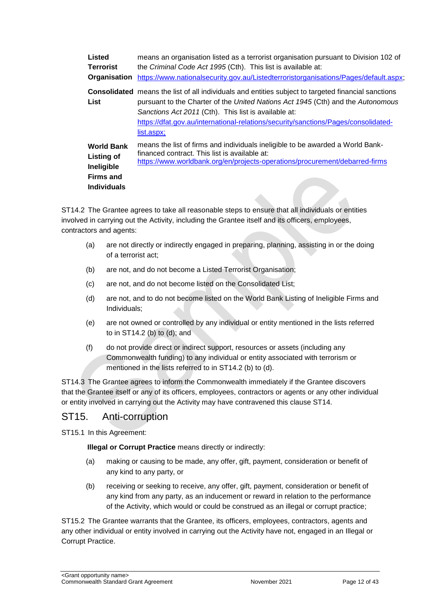**Listed Terrorist Organisation** [https://www.nationalsecurity.gov.au/Listedterroristorganisations/Pages/default.aspx;](https://www.nationalsecurity.gov.au/Listedterroristorganisations/Pages/default.aspx) means an organisation listed as a terrorist organisation pursuant to Division 102 of the *Criminal Code Act 1995* (Cth). This list is available at: **Consolidated**  means the list of all individuals and entities subject to targeted financial sanctions **List**  pursuant to the Charter of the *United Nations Act 1945* (Cth) and the *Autonomous Sanctions Act 2011* (Cth). This list is available at: [https://dfat.gov.au/international-relations/security/sanctions/Pages/consolidated](https://dfat.gov.au/international-relations/security/sanctions/Pages/consolidated-list.aspx)list.aspx: **World Bank Listing of Ineligible Firms and Individuals**  means the list of firms and individuals ineligible to be awarded a World Bankfinanced contract. This list is available at: <https://www.worldbank.org/en/projects-operations/procurement/debarred-firms>

ST14.2 The Grantee agrees to take all reasonable steps to ensure that all individuals or entities involved in carrying out the Activity, including the Grantee itself and its officers, employees, contractors and agents:

- (a) are not directly or indirectly engaged in preparing, planning, assisting in or the doing of a terrorist act;
- (b) are not, and do not become a Listed Terrorist Organisation;
- (c) are not, and do not become listed on the Consolidated List;
- (d) are not, and to do not become listed on the World Bank Listing of Ineligible Firms and Individuals;
- (e) are not owned or controlled by any individual or entity mentioned in the lists referred to in ST14.2 (b) to (d); and
- (f) do not provide direct or indirect support, resources or assets (including any Commonwealth funding) to any individual or entity associated with terrorism or mentioned in the lists referred to in ST14.2 (b) to (d).

ST14.3 The Grantee agrees to inform the Commonwealth immediately if the Grantee discovers that the Grantee itself or any of its officers, employees, contractors or agents or any other individual or entity involved in carrying out the Activity may have contravened this clause ST14.

## ST15. Anti-corruption

ST15.1 In this Agreement:

**Illegal or Corrupt Practice** means directly or indirectly:

- (a) making or causing to be made, any offer, gift, payment, consideration or benefit of any kind to any party, or
- (b) receiving or seeking to receive, any offer, gift, payment, consideration or benefit of any kind from any party, as an inducement or reward in relation to the performance of the Activity, which would or could be construed as an illegal or corrupt practice;

ST15.2 The Grantee warrants that the Grantee, its officers, employees, contractors, agents and any other individual or entity involved in carrying out the Activity have not, engaged in an Illegal or Corrupt Practice.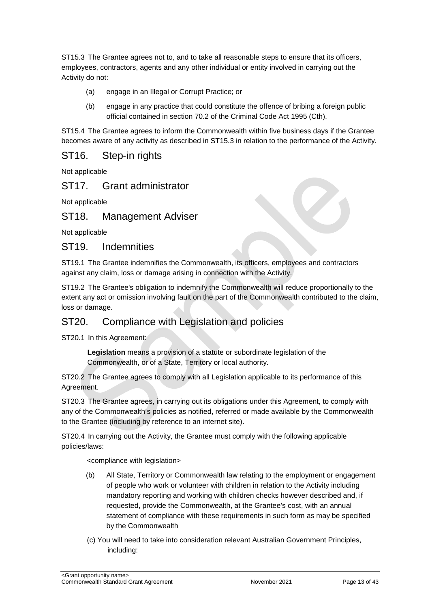ST15.3 The Grantee agrees not to, and to take all reasonable steps to ensure that its officers, employees, contractors, agents and any other individual or entity involved in carrying out the Activity do not:

- (a) engage in an Illegal or Corrupt Practice; or
- (b) engage in any practice that could constitute the offence of bribing a foreign public official contained in section 70.2 of the Criminal Code Act 1995 (Cth).

ST15.4 The Grantee agrees to inform the Commonwealth within five business days if the Grantee becomes aware of any activity as described in ST15.3 in relation to the performance of the Activity.

## ST16. Step‐in rights

Not applicable

## ST17. Grant administrator

Not applicable

### ST18. Management Adviser

Not applicable

#### ST19. Indemnities

ST19.1 The Grantee indemnifies the Commonwealth, its officers, employees and contractors against any claim, loss or damage arising in connection with the Activity.

ST19.2 The Grantee's obligation to indemnify the Commonwealth will reduce proportionally to the extent any act or omission involving fault on the part of the Commonwealth contributed to the claim, loss or damage.

## ST20. Compliance with Legislation and policies

ST20.1 In this Agreement:

**Legislation** means a provision of a statute or subordinate legislation of the Commonwealth, or of a State, Territory or local authority.

ST20.2 The Grantee agrees to comply with all Legislation applicable to its performance of this Agreement.

ST20.3 The Grantee agrees, in carrying out its obligations under this Agreement, to comply with any of the Commonwealth's policies as notified, referred or made available by the Commonwealth to the Grantee (including by reference to an internet site).

ST20.4 In carrying out the Activity, the Grantee must comply with the following applicable policies/laws:

<compliance with legislation>

- (b) All State, Territory or Commonwealth law relating to the employment or engagement of people who work or volunteer with children in relation to the Activity including mandatory reporting and working with children checks however described and, if requested, provide the Commonwealth, at the Grantee's cost, with an annual statement of compliance with these requirements in such form as may be specified by the Commonwealth
- (c) You will need to take into consideration relevant Australian Government Principles, including: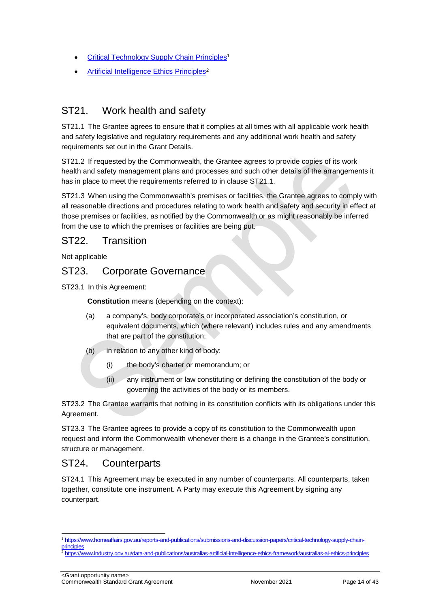- [Critical Technology Supply Chain Principles](https://www.homeaffairs.gov.au/reports-and-publications/submissions-and-discussion-papers/critical-technology-supply-chain-principles)<sup>1</sup>
- [Artificial Intelligence Ethics Principles](https://www.industry.gov.au/data-and-publications/australias-artificial-intelligence-ethics-framework/australias-ai-ethics-principles)<sup>2</sup>

## ST21. Work health and safety

ST21.1 The Grantee agrees to ensure that it complies at all times with all applicable work health and safety legislative and regulatory requirements and any additional work health and safety requirements set out in the Grant Details.

ST21.2 If requested by the Commonwealth, the Grantee agrees to provide copies of its work health and safety management plans and processes and such other details of the arrangements it has in place to meet the requirements referred to in clause ST21.1.

ST21.3 When using the Commonwealth's premises or facilities, the Grantee agrees to comply with all reasonable directions and procedures relating to work health and safety and security in effect at those premises or facilities, as notified by the Commonwealth or as might reasonably be inferred from the use to which the premises or facilities are being put.

### ST22. Transition

Not applicable

### ST23. Corporate Governance

ST23.1 In this Agreement:

**Constitution** means (depending on the context):

- (a) a company's, body corporate's or incorporated association's constitution, or equivalent documents, which (where relevant) includes rules and any amendments that are part of the constitution;
- $(b)$  in relation to any other kind of body:
	- (i) the body's charter or memorandum; or
	- (ii) any instrument or law constituting or defining the constitution of the body or governing the activities of the body or its members.

ST23.2 The Grantee warrants that nothing in its constitution conflicts with its obligations under this Agreement.

ST23.3 The Grantee agrees to provide a copy of its constitution to the Commonwealth upon request and inform the Commonwealth whenever there is a change in the Grantee's constitution, structure or management.

### ST24. Counterparts

ST24.1 This Agreement may be executed in any number of counterparts. All counterparts, taken together, constitute one instrument. A Party may execute this Agreement by signing any counterpart.

<sup>-</sup><sup>1</sup> [https://www.homeaffairs.gov.au/reports-and-publications/submissions-and-discussion-papers/critical-technology-supply-chain](https://www.homeaffairs.gov.au/reports-and-publications/submissions-and-discussion-papers/critical-technology-supply-chain-principles)[principles](https://www.homeaffairs.gov.au/reports-and-publications/submissions-and-discussion-papers/critical-technology-supply-chain-principles)

<sup>2</sup> <https://www.industry.gov.au/data-and-publications/australias-artificial-intelligence-ethics-framework/australias-ai-ethics-principles>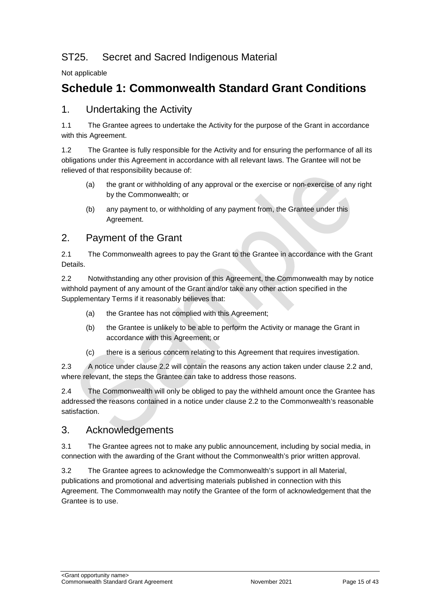## ST25. Secret and Sacred Indigenous Material

Not applicable

## <span id="page-14-0"></span>**Schedule 1: Commonwealth Standard Grant Conditions**

### 1. Undertaking the Activity

1.1 The Grantee agrees to undertake the Activity for the purpose of the Grant in accordance with this Agreement.

1.2 The Grantee is fully responsible for the Activity and for ensuring the performance of all its obligations under this Agreement in accordance with all relevant laws. The Grantee will not be relieved of that responsibility because of:

- (a) the grant or withholding of any approval or the exercise or non‐exercise of any right by the Commonwealth; or
- (b) any payment to, or withholding of any payment from, the Grantee under this Agreement.

### 2. Payment of the Grant

2.1 The Commonwealth agrees to pay the Grant to the Grantee in accordance with the Grant Details.

2.2 Notwithstanding any other provision of this Agreement, the Commonwealth may by notice withhold payment of any amount of the Grant and/or take any other action specified in the Supplementary Terms if it reasonably believes that:

- (a) the Grantee has not complied with this Agreement;
- (b) the Grantee is unlikely to be able to perform the Activity or manage the Grant in accordance with this Agreement; or
- (c) there is a serious concern relating to this Agreement that requires investigation.

2.3 A notice under clause 2.2 will contain the reasons any action taken under clause 2.2 and, where relevant, the steps the Grantee can take to address those reasons.

2.4 The Commonwealth will only be obliged to pay the withheld amount once the Grantee has addressed the reasons contained in a notice under clause 2.2 to the Commonwealth's reasonable satisfaction.

### 3. Acknowledgements

3.1 The Grantee agrees not to make any public announcement, including by social media, in connection with the awarding of the Grant without the Commonwealth's prior written approval.

3.2 The Grantee agrees to acknowledge the Commonwealth's support in all Material, publications and promotional and advertising materials published in connection with this Agreement. The Commonwealth may notify the Grantee of the form of acknowledgement that the Grantee is to use.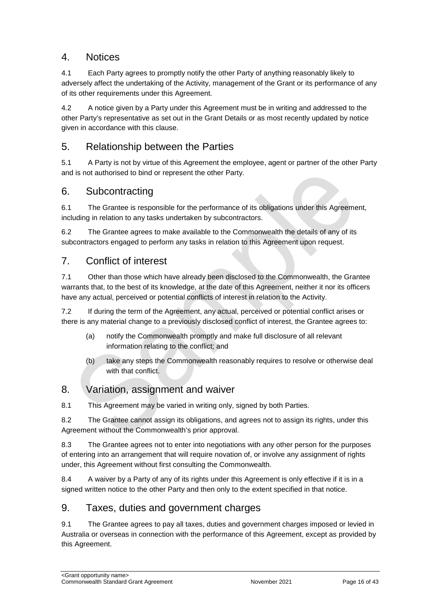## 4. Notices

4.1 Each Party agrees to promptly notify the other Party of anything reasonably likely to adversely affect the undertaking of the Activity, management of the Grant or its performance of any of its other requirements under this Agreement.

4.2 A notice given by a Party under this Agreement must be in writing and addressed to the other Party's representative as set out in the Grant Details or as most recently updated by notice given in accordance with this clause.

## 5. Relationship between the Parties

5.1 A Party is not by virtue of this Agreement the employee, agent or partner of the other Party and is not authorised to bind or represent the other Party.

### 6. Subcontracting

6.1 The Grantee is responsible for the performance of its obligations under this Agreement, including in relation to any tasks undertaken by subcontractors.

6.2 The Grantee agrees to make available to the Commonwealth the details of any of its subcontractors engaged to perform any tasks in relation to this Agreement upon request.

### 7. Conflict of interest

7.1 Other than those which have already been disclosed to the Commonwealth, the Grantee warrants that, to the best of its knowledge, at the date of this Agreement, neither it nor its officers have any actual, perceived or potential conflicts of interest in relation to the Activity.

7.2 If during the term of the Agreement, any actual, perceived or potential conflict arises or there is any material change to a previously disclosed conflict of interest, the Grantee agrees to:

- (a) notify the Commonwealth promptly and make full disclosure of all relevant information relating to the conflict; and
- (b) take any steps the Commonwealth reasonably requires to resolve or otherwise deal with that conflict.

## 8. Variation, assignment and waiver

8.1 This Agreement may be varied in writing only, signed by both Parties.

8.2 The Grantee cannot assign its obligations, and agrees not to assign its rights, under this Agreement without the Commonwealth's prior approval.

8.3 The Grantee agrees not to enter into negotiations with any other person for the purposes of entering into an arrangement that will require novation of, or involve any assignment of rights under, this Agreement without first consulting the Commonwealth.

8.4 A waiver by a Party of any of its rights under this Agreement is only effective if it is in a signed written notice to the other Party and then only to the extent specified in that notice.

### 9. Taxes, duties and government charges

9.1 The Grantee agrees to pay all taxes, duties and government charges imposed or levied in Australia or overseas in connection with the performance of this Agreement, except as provided by this Agreement.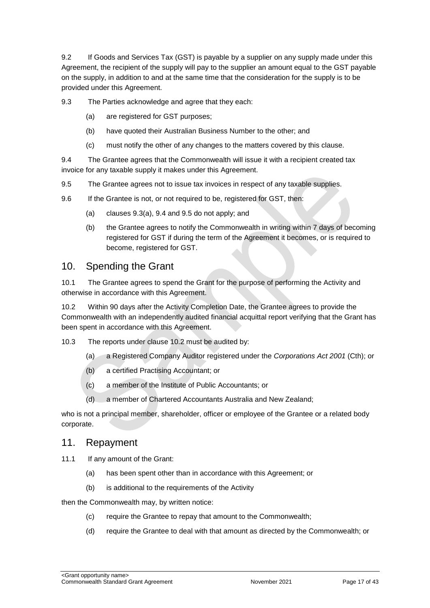9.2 If Goods and Services Tax (GST) is payable by a supplier on any supply made under this Agreement, the recipient of the supply will pay to the supplier an amount equal to the GST payable on the supply, in addition to and at the same time that the consideration for the supply is to be provided under this Agreement.

9.3 The Parties acknowledge and agree that they each:

- (a) are registered for GST purposes;
- (b) have quoted their Australian Business Number to the other; and
- (c) must notify the other of any changes to the matters covered by this clause.

9.4 The Grantee agrees that the Commonwealth will issue it with a recipient created tax invoice for any taxable supply it makes under this Agreement.

- 9.5 The Grantee agrees not to issue tax invoices in respect of any taxable supplies.
- 9.6 If the Grantee is not, or not required to be, registered for GST, then:
	- (a) clauses 9.3(a), 9.4 and 9.5 do not apply; and
	- (b) the Grantee agrees to notify the Commonwealth in writing within 7 days of becoming registered for GST if during the term of the Agreement it becomes, or is required to become, registered for GST.

#### 10. Spending the Grant

10.1 The Grantee agrees to spend the Grant for the purpose of performing the Activity and otherwise in accordance with this Agreement.

10.2 Within 90 days after the Activity Completion Date, the Grantee agrees to provide the Commonwealth with an independently audited financial acquittal report verifying that the Grant has been spent in accordance with this Agreement.

- 10.3 The reports under clause 10.2 must be audited by:
	- (a) a Registered Company Auditor registered under the *Corporations Act 2001* (Cth); or
	- (b) a certified Practising Accountant; or
	- (c) a member of the Institute of Public Accountants; or
	- (d) a member of Chartered Accountants Australia and New Zealand;

who is not a principal member, shareholder, officer or employee of the Grantee or a related body corporate.

#### 11. Repayment

11.1 If any amount of the Grant:

- (a) has been spent other than in accordance with this Agreement; or
- (b) is additional to the requirements of the Activity

then the Commonwealth may, by written notice:

- (c) require the Grantee to repay that amount to the Commonwealth;
- (d) require the Grantee to deal with that amount as directed by the Commonwealth; or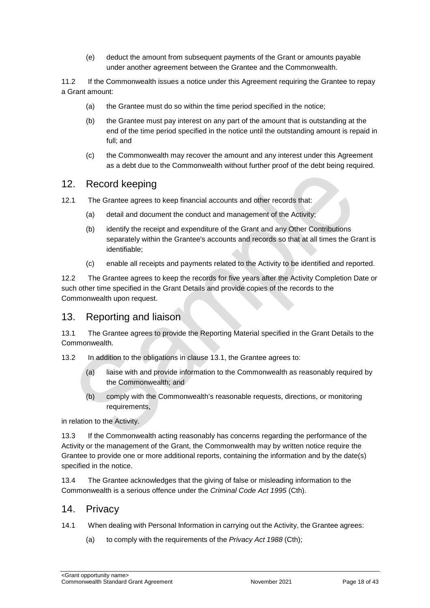(e) deduct the amount from subsequent payments of the Grant or amounts payable under another agreement between the Grantee and the Commonwealth.

11.2 If the Commonwealth issues a notice under this Agreement requiring the Grantee to repay a Grant amount:

- (a) the Grantee must do so within the time period specified in the notice;
- (b) the Grantee must pay interest on any part of the amount that is outstanding at the end of the time period specified in the notice until the outstanding amount is repaid in full; and
- (c) the Commonwealth may recover the amount and any interest under this Agreement as a debt due to the Commonwealth without further proof of the debt being required.

### 12. Record keeping

- 12.1 The Grantee agrees to keep financial accounts and other records that:
	- (a) detail and document the conduct and management of the Activity;
	- (b) identify the receipt and expenditure of the Grant and any Other Contributions separately within the Grantee's accounts and records so that at all times the Grant is identifiable;
	- (c) enable all receipts and payments related to the Activity to be identified and reported.

12.2 The Grantee agrees to keep the records for five years after the Activity Completion Date or such other time specified in the Grant Details and provide copies of the records to the Commonwealth upon request.

### 13. Reporting and liaison

13.1 The Grantee agrees to provide the Reporting Material specified in the Grant Details to the Commonwealth.

- 13.2 In addition to the obligations in clause 13.1, the Grantee agrees to:
	- (a) liaise with and provide information to the Commonwealth as reasonably required by the Commonwealth; and
	- (b) comply with the Commonwealth's reasonable requests, directions, or monitoring requirements,

in relation to the Activity.

13.3 If the Commonwealth acting reasonably has concerns regarding the performance of the Activity or the management of the Grant, the Commonwealth may by written notice require the Grantee to provide one or more additional reports, containing the information and by the date(s) specified in the notice.

13.4 The Grantee acknowledges that the giving of false or misleading information to the Commonwealth is a serious offence under the *Criminal Code Act 1995* (Cth).

#### 14. Privacy

- 14.1 When dealing with Personal Information in carrying out the Activity, the Grantee agrees:
	- (a) to comply with the requirements of the *Privacy Act 1988* (Cth);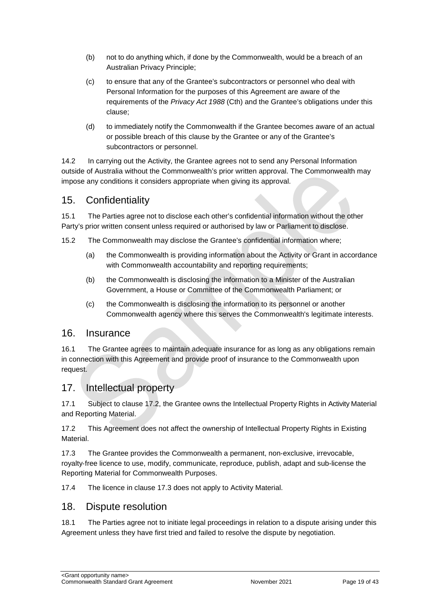- (b) not to do anything which, if done by the Commonwealth, would be a breach of an Australian Privacy Principle;
- (c) to ensure that any of the Grantee's subcontractors or personnel who deal with Personal Information for the purposes of this Agreement are aware of the requirements of the *Privacy Act 1988* (Cth) and the Grantee's obligations under this clause;
- (d) to immediately notify the Commonwealth if the Grantee becomes aware of an actual or possible breach of this clause by the Grantee or any of the Grantee's subcontractors or personnel.

14.2 In carrying out the Activity, the Grantee agrees not to send any Personal Information outside of Australia without the Commonwealth's prior written approval. The Commonwealth may impose any conditions it considers appropriate when giving its approval.

### 15. Confidentiality

15.1 The Parties agree not to disclose each other's confidential information without the other Party's prior written consent unless required or authorised by law or Parliament to disclose.

- 15.2 The Commonwealth may disclose the Grantee's confidential information where;
	- (a) the Commonwealth is providing information about the Activity or Grant in accordance with Commonwealth accountability and reporting requirements;
	- (b) the Commonwealth is disclosing the information to a Minister of the Australian Government, a House or Committee of the Commonwealth Parliament; or
	- (c) the Commonwealth is disclosing the information to its personnel or another Commonwealth agency where this serves the Commonwealth's legitimate interests.

#### 16. Insurance

16.1 The Grantee agrees to maintain adequate insurance for as long as any obligations remain in connection with this Agreement and provide proof of insurance to the Commonwealth upon request.

### 17. Intellectual property

17.1 Subject to clause 17.2, the Grantee owns the Intellectual Property Rights in Activity Material and Reporting Material.

17.2 This Agreement does not affect the ownership of Intellectual Property Rights in Existing **Material** 

17.3 The Grantee provides the Commonwealth a permanent, non-exclusive, irrevocable, royalty‐free licence to use, modify, communicate, reproduce, publish, adapt and sub-license the Reporting Material for Commonwealth Purposes.

17.4 The licence in clause 17.3 does not apply to Activity Material.

#### 18. Dispute resolution

18.1 The Parties agree not to initiate legal proceedings in relation to a dispute arising under this Agreement unless they have first tried and failed to resolve the dispute by negotiation.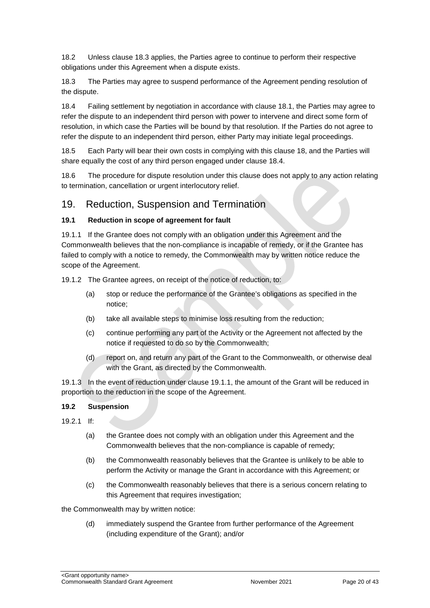18.2 Unless clause 18.3 applies, the Parties agree to continue to perform their respective obligations under this Agreement when a dispute exists.

18.3 The Parties may agree to suspend performance of the Agreement pending resolution of the dispute.

18.4 Failing settlement by negotiation in accordance with clause 18.1, the Parties may agree to refer the dispute to an independent third person with power to intervene and direct some form of resolution, in which case the Parties will be bound by that resolution. If the Parties do not agree to refer the dispute to an independent third person, either Party may initiate legal proceedings.

18.5 Each Party will bear their own costs in complying with this clause 18, and the Parties will share equally the cost of any third person engaged under clause 18.4.

18.6 The procedure for dispute resolution under this clause does not apply to any action relating to termination, cancellation or urgent interlocutory relief.

#### 19. Reduction, Suspension and Termination

#### **19.1 Reduction in scope of agreement for fault**

19.1.1 If the Grantee does not comply with an obligation under this Agreement and the Commonwealth believes that the non‐compliance is incapable of remedy, or if the Grantee has failed to comply with a notice to remedy, the Commonwealth may by written notice reduce the scope of the Agreement.

19.1.2 The Grantee agrees, on receipt of the notice of reduction, to:

- (a) stop or reduce the performance of the Grantee's obligations as specified in the notice;
- (b) take all available steps to minimise loss resulting from the reduction;
- (c) continue performing any part of the Activity or the Agreement not affected by the notice if requested to do so by the Commonwealth;
- (d) report on, and return any part of the Grant to the Commonwealth, or otherwise deal with the Grant, as directed by the Commonwealth.

19.1.3 In the event of reduction under clause 19.1.1, the amount of the Grant will be reduced in proportion to the reduction in the scope of the Agreement.

#### **19.2 Suspension**

- 19.2.1 If:
	- (a) the Grantee does not comply with an obligation under this Agreement and the Commonwealth believes that the non‐compliance is capable of remedy;
	- (b) the Commonwealth reasonably believes that the Grantee is unlikely to be able to perform the Activity or manage the Grant in accordance with this Agreement; or
	- (c) the Commonwealth reasonably believes that there is a serious concern relating to this Agreement that requires investigation;

the Commonwealth may by written notice:

(d) immediately suspend the Grantee from further performance of the Agreement (including expenditure of the Grant); and/or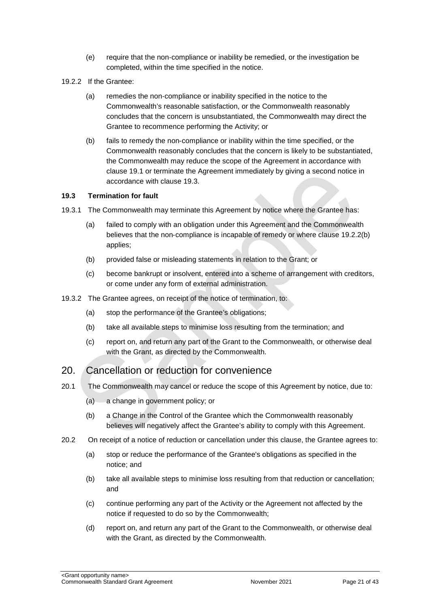- (e) require that the non‐compliance or inability be remedied, or the investigation be completed, within the time specified in the notice.
- 19.2.2 If the Grantee:
	- (a) remedies the non‐compliance or inability specified in the notice to the Commonwealth's reasonable satisfaction, or the Commonwealth reasonably concludes that the concern is unsubstantiated, the Commonwealth may direct the Grantee to recommence performing the Activity; or
	- (b) fails to remedy the non‐compliance or inability within the time specified, or the Commonwealth reasonably concludes that the concern is likely to be substantiated, the Commonwealth may reduce the scope of the Agreement in accordance with clause 19.1 or terminate the Agreement immediately by giving a second notice in accordance with clause 19.3.

#### **19.3 Termination for fault**

- 19.3.1 The Commonwealth may terminate this Agreement by notice where the Grantee has:
	- (a) failed to comply with an obligation under this Agreement and the Commonwealth believes that the non-compliance is incapable of remedy or where clause 19.2.2(b) applies;
	- (b) provided false or misleading statements in relation to the Grant; or
	- (c) become bankrupt or insolvent, entered into a scheme of arrangement with creditors, or come under any form of external administration.
- 19.3.2 The Grantee agrees, on receipt of the notice of termination, to:
	- (a) stop the performance of the Grantee's obligations;
	- (b) take all available steps to minimise loss resulting from the termination; and
	- (c) report on, and return any part of the Grant to the Commonwealth, or otherwise deal with the Grant, as directed by the Commonwealth.

#### 20. Cancellation or reduction for convenience

- 20.1 The Commonwealth may cancel or reduce the scope of this Agreement by notice, due to:
	- (a) a change in government policy; or
	- (b) a Change in the Control of the Grantee which the Commonwealth reasonably believes will negatively affect the Grantee's ability to comply with this Agreement.
- 20.2 On receipt of a notice of reduction or cancellation under this clause, the Grantee agrees to:
	- (a) stop or reduce the performance of the Grantee's obligations as specified in the notice; and
	- (b) take all available steps to minimise loss resulting from that reduction or cancellation; and
	- (c) continue performing any part of the Activity or the Agreement not affected by the notice if requested to do so by the Commonwealth;
	- (d) report on, and return any part of the Grant to the Commonwealth, or otherwise deal with the Grant, as directed by the Commonwealth.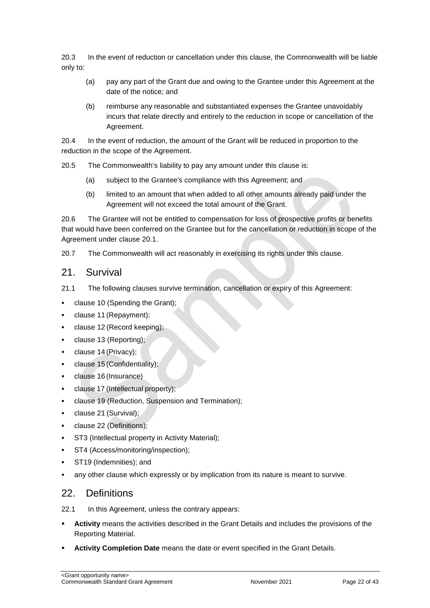20.3 In the event of reduction or cancellation under this clause, the Commonwealth will be liable only to:

- (a) pay any part of the Grant due and owing to the Grantee under this Agreement at the date of the notice; and
- (b) reimburse any reasonable and substantiated expenses the Grantee unavoidably incurs that relate directly and entirely to the reduction in scope or cancellation of the Agreement.

20.4 In the event of reduction, the amount of the Grant will be reduced in proportion to the reduction in the scope of the Agreement.

20.5 The Commonwealth's liability to pay any amount under this clause is:

- (a) subject to the Grantee's compliance with this Agreement; and
- (b) limited to an amount that when added to all other amounts already paid under the Agreement will not exceed the total amount of the Grant.

20.6 The Grantee will not be entitled to compensation for loss of prospective profits or benefits that would have been conferred on the Grantee but for the cancellation or reduction in scope of the Agreement under clause 20.1.

20.7 The Commonwealth will act reasonably in exercising its rights under this clause.

#### 21. Survival

- 21.1 The following clauses survive termination, cancellation or expiry of this Agreement:
- clause 10 (Spending the Grant);
- clause 11 (Repayment);
- clause 12 (Record keeping);
- clause 13 (Reporting);
- clause 14 (Privacy);
- clause 15 (Confidentiality);
- clause 16 (Insurance)
- clause 17 (Intellectual property);
- clause 19 (Reduction, Suspension and Termination);
- clause 21 (Survival);
- clause 22 (Definitions);
- ST3 (Intellectual property in Activity Material);
- ST4 (Access/monitoring/inspection);
- ST19 (Indemnities); and
- any other clause which expressly or by implication from its nature is meant to survive.

#### 22. Definitions

- 22.1 In this Agreement, unless the contrary appears:
- **Activity** means the activities described in the Grant Details and includes the provisions of the Reporting Material.
- **Activity Completion Date** means the date or event specified in the Grant Details.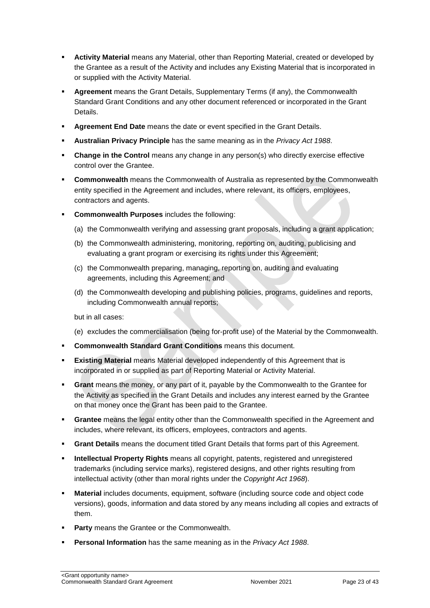- **Activity Material** means any Material, other than Reporting Material, created or developed by the Grantee as a result of the Activity and includes any Existing Material that is incorporated in or supplied with the Activity Material.
- **Agreement** means the Grant Details, Supplementary Terms (if any), the Commonwealth Standard Grant Conditions and any other document referenced or incorporated in the Grant Details.
- **Agreement End Date** means the date or event specified in the Grant Details.
- **Australian Privacy Principle** has the same meaning as in the *Privacy Act 1988*.
- **Change in the Control** means any change in any person(s) who directly exercise effective control over the Grantee.
- **Commonwealth** means the Commonwealth of Australia as represented by the Commonwealth entity specified in the Agreement and includes, where relevant, its officers, employees, contractors and agents.
- **Commonwealth Purposes** includes the following:
	- (a) the Commonwealth verifying and assessing grant proposals, including a grant application;
	- (b) the Commonwealth administering, monitoring, reporting on, auditing, publicising and evaluating a grant program or exercising its rights under this Agreement;
	- (c) the Commonwealth preparing, managing, reporting on, auditing and evaluating agreements, including this Agreement; and
	- (d) the Commonwealth developing and publishing policies, programs, guidelines and reports, including Commonwealth annual reports;

but in all cases:

- (e) excludes the commercialisation (being for‐profit use) of the Material by the Commonwealth.
- **Commonwealth Standard Grant Conditions** means this document.
- **Existing Material** means Material developed independently of this Agreement that is incorporated in or supplied as part of Reporting Material or Activity Material.
- **Grant** means the money, or any part of it, payable by the Commonwealth to the Grantee for the Activity as specified in the Grant Details and includes any interest earned by the Grantee on that money once the Grant has been paid to the Grantee.
- **Grantee** means the legal entity other than the Commonwealth specified in the Agreement and includes, where relevant, its officers, employees, contractors and agents.
- **Grant Details** means the document titled Grant Details that forms part of this Agreement.
- **Intellectual Property Rights** means all copyright, patents, registered and unregistered trademarks (including service marks), registered designs, and other rights resulting from intellectual activity (other than moral rights under the *Copyright Act 1968*).
- **Material** includes documents, equipment, software (including source code and object code versions), goods, information and data stored by any means including all copies and extracts of them.
- **Party** means the Grantee or the Commonwealth.
- **Personal Information** has the same meaning as in the *Privacy Act 1988*.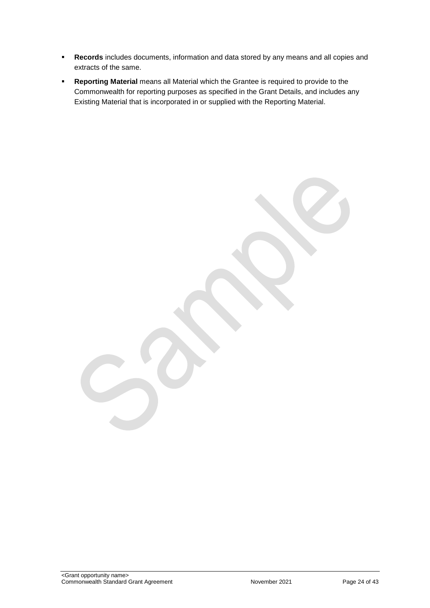- **Records** includes documents, information and data stored by any means and all copies and extracts of the same.
- **Reporting Material** means all Material which the Grantee is required to provide to the Commonwealth for reporting purposes as specified in the Grant Details, and includes any Existing Material that is incorporated in or supplied with the Reporting Material.

<Grant opportunity name> Commonwealth Standard Grant Agreement November 2021 Page 24 of 43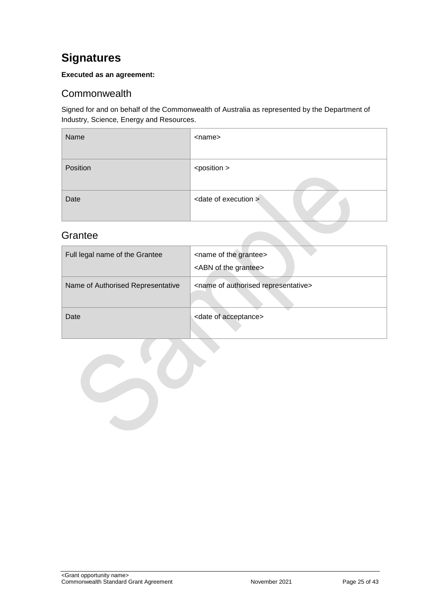## <span id="page-24-0"></span>**Signatures**

#### **Executed as an agreement:**

### <span id="page-24-1"></span>**Commonwealth**

Signed for and on behalf of the Commonwealth of Australia as represented by the Department of Industry, Science, Energy and Resources.

| Name     | <name></name>                    |
|----------|----------------------------------|
| Position | <position></position>            |
| Date     | <date execution="" of=""></date> |

### <span id="page-24-2"></span>**Grantee**

| Full legal name of the Grantee    | <name grantee="" of="" the=""><br/><abn grantee="" of="" the=""></abn></name> |
|-----------------------------------|-------------------------------------------------------------------------------|
| Name of Authorised Representative | <name authorised="" of="" representative=""></name>                           |
| Date                              | <date acceptance="" of=""></date>                                             |

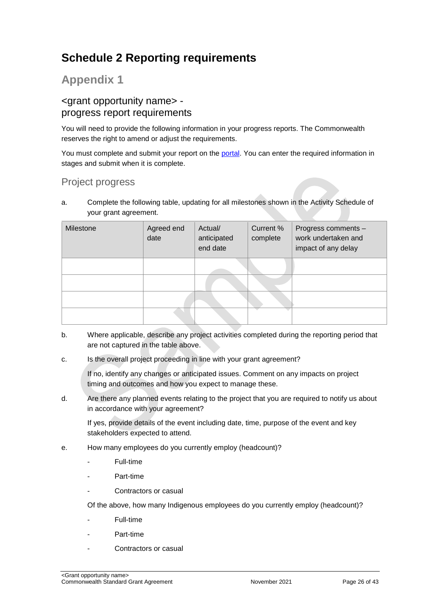## <span id="page-25-0"></span>**Schedule 2 Reporting requirements**

## **Appendix 1**

### <grant opportunity name> progress report requirements

You will need to provide the following information in your progress reports. The Commonwealth reserves the right to amend or adjust the requirements.

You must complete and submit your report on the [portal.](https://portal.business.gov.au/) You can enter the required information in stages and submit when it is complete.

## Project progress

a. Complete the following table, updating for all milestones shown in the Activity Schedule of your grant agreement.

| Milestone | Agreed end<br>date | Actual/<br>anticipated<br>end date | Current %<br>complete | Progress comments -<br>work undertaken and<br>impact of any delay |
|-----------|--------------------|------------------------------------|-----------------------|-------------------------------------------------------------------|
|           |                    |                                    |                       |                                                                   |
|           |                    |                                    |                       |                                                                   |
|           |                    |                                    |                       |                                                                   |
|           |                    |                                    |                       |                                                                   |

- b. Where applicable, describe any project activities completed during the reporting period that are not captured in the table above.
- c. Is the overall project proceeding in line with your grant agreement?

If no, identify any changes or anticipated issues. Comment on any impacts on project timing and outcomes and how you expect to manage these.

d. Are there any planned events relating to the project that you are required to notify us about in accordance with your agreement?

If yes, provide details of the event including date, time, purpose of the event and key stakeholders expected to attend.

- e. How many employees do you currently employ (headcount)?
	- Full-time
	- Part-time
	- Contractors or casual

Of the above, how many Indigenous employees do you currently employ (headcount)?

- Full-time
- Part-time
- Contractors or casual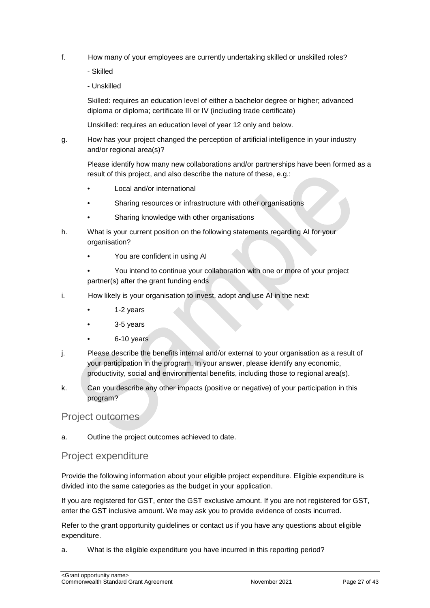- f. How many of your employees are currently undertaking skilled or unskilled roles?
	- Skilled
	- Unskilled

Skilled: requires an education level of either a bachelor degree or higher; advanced diploma or diploma; certificate III or IV (including trade certificate)

Unskilled: requires an education level of year 12 only and below.

g. How has your project changed the perception of artificial intelligence in your industry and/or regional area(s)?

Please identify how many new collaborations and/or partnerships have been formed as a result of this project, and also describe the nature of these, e.g.:

- Local and/or international
- Sharing resources or infrastructure with other organisations
- Sharing knowledge with other organisations
- h. What is your current position on the following statements regarding AI for your organisation?
	- You are confident in using AI
	- You intend to continue your collaboration with one or more of your project partner(s) after the grant funding ends
- i. How likely is your organisation to invest, adopt and use AI in the next:
	- 1-2 years
	- 3-5 years
	- 6-10 years
- j. Please describe the benefits internal and/or external to your organisation as a result of your participation in the program. In your answer, please identify any economic, productivity, social and environmental benefits, including those to regional area(s).
- k. Can you describe any other impacts (positive or negative) of your participation in this program?

#### Project outcomes

a. Outline the project outcomes achieved to date.

#### Project expenditure

Provide the following information about your eligible project expenditure. Eligible expenditure is divided into the same categories as the budget in your application.

If you are registered for GST, enter the GST exclusive amount. If you are not registered for GST, enter the GST inclusive amount. We may ask you to provide evidence of costs incurred.

Refer to the grant opportunity guidelines or contact us if you have any questions about eligible expenditure.

a. What is the eligible expenditure you have incurred in this reporting period?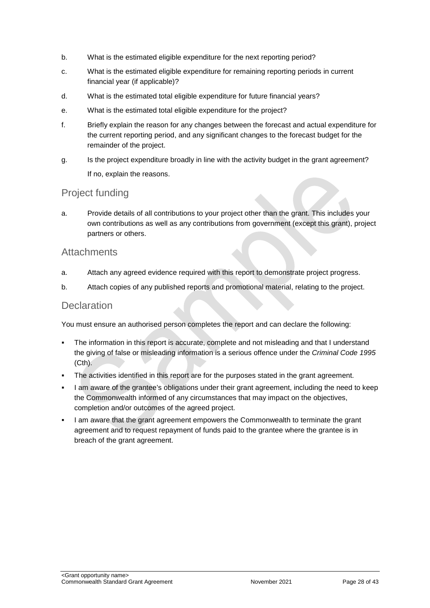- b. What is the estimated eligible expenditure for the next reporting period?
- c. What is the estimated eligible expenditure for remaining reporting periods in current financial year (if applicable)?
- d. What is the estimated total eligible expenditure for future financial years?
- e. What is the estimated total eligible expenditure for the project?
- f. Briefly explain the reason for any changes between the forecast and actual expenditure for the current reporting period, and any significant changes to the forecast budget for the remainder of the project.
- g. Is the project expenditure broadly in line with the activity budget in the grant agreement? If no, explain the reasons.

### Project funding

a. Provide details of all contributions to your project other than the grant. This includes your own contributions as well as any contributions from government (except this grant), project partners or others.

#### **Attachments**

- a. Attach any agreed evidence required with this report to demonstrate project progress.
- b. Attach copies of any published reports and promotional material, relating to the project.

#### **Declaration**

You must ensure an authorised person completes the report and can declare the following:

- The information in this report is accurate, complete and not misleading and that I understand the giving of false or misleading information is a serious offence under the *Criminal Code 1995* (Cth).
- The activities identified in this report are for the purposes stated in the grant agreement.
- I am aware of the grantee's obligations under their grant agreement, including the need to keep the Commonwealth informed of any circumstances that may impact on the objectives, completion and/or outcomes of the agreed project.
- I am aware that the grant agreement empowers the Commonwealth to terminate the grant agreement and to request repayment of funds paid to the grantee where the grantee is in breach of the grant agreement.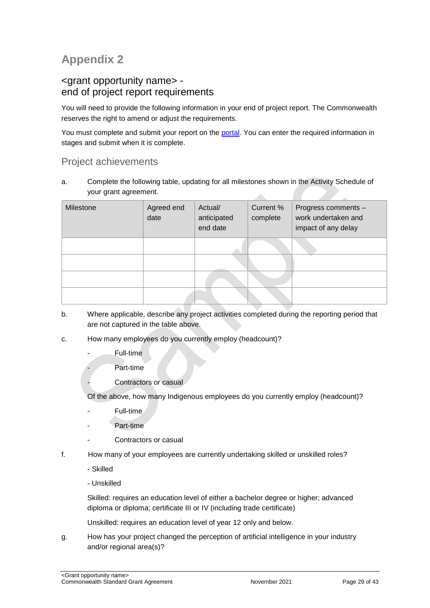## **Appendix 2**

### <grant opportunity name> end of project report requirements

You will need to provide the following information in your end of project report. The Commonwealth reserves the right to amend or adjust the requirements.

You must complete and submit your report on the [portal.](https://portal.business.gov.au/) You can enter the required information in stages and submit when it is complete.

### Project achievements

a. Complete the following table, updating for all milestones shown in the Activity Schedule of your grant agreement. zh.

| Milestone | Agreed end<br>date | Actual/<br>anticipated<br>end date | Current %<br>complete | Progress comments -<br>work undertaken and<br>impact of any delay |
|-----------|--------------------|------------------------------------|-----------------------|-------------------------------------------------------------------|
|           |                    |                                    |                       |                                                                   |
|           |                    |                                    |                       |                                                                   |
|           |                    |                                    |                       |                                                                   |
|           |                    |                                    |                       |                                                                   |

- b. Where applicable, describe any project activities completed during the reporting period that are not captured in the table above.
- c. How many employees do you currently employ (headcount)?
	- Full-time
		- Part-time
	- Contractors or casual

Of the above, how many Indigenous employees do you currently employ (headcount)?

- Full-time
- Part-time
- Contractors or casual
- f. How many of your employees are currently undertaking skilled or unskilled roles?
	- Skilled
	- Unskilled

Skilled: requires an education level of either a bachelor degree or higher; advanced diploma or diploma; certificate III or IV (including trade certificate)

Unskilled: requires an education level of year 12 only and below.

g. How has your project changed the perception of artificial intelligence in your industry and/or regional area(s)?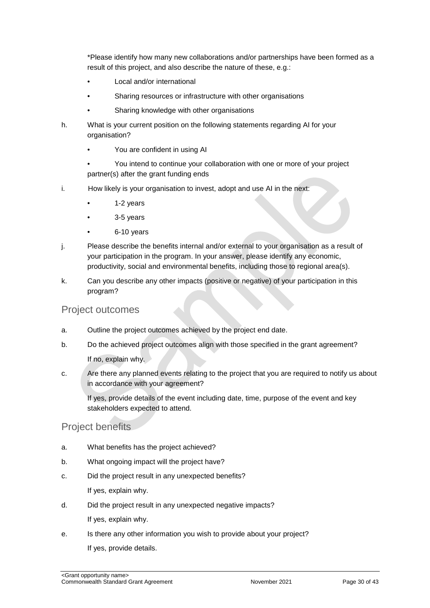\*Please identify how many new collaborations and/or partnerships have been formed as a result of this project, and also describe the nature of these, e.g.:

- Local and/or international
- Sharing resources or infrastructure with other organisations
- Sharing knowledge with other organisations
- h. What is your current position on the following statements regarding AI for your organisation?
	- You are confident in using AI

• You intend to continue your collaboration with one or more of your project partner(s) after the grant funding ends

- i. How likely is your organisation to invest, adopt and use AI in the next:
	- 1-2 years
	- 3-5 years
	- 6-10 years
- j. Please describe the benefits internal and/or external to your organisation as a result of your participation in the program. In your answer, please identify any economic, productivity, social and environmental benefits, including those to regional area(s).
- k. Can you describe any other impacts (positive or negative) of your participation in this program?

#### Project outcomes

- a. Outline the project outcomes achieved by the project end date.
- b. Do the achieved project outcomes align with those specified in the grant agreement? If no, explain why.
- c. Are there any planned events relating to the project that you are required to notify us about in accordance with your agreement?

If yes, provide details of the event including date, time, purpose of the event and key stakeholders expected to attend.

#### Project benefits

- a. What benefits has the project achieved?
- b. What ongoing impact will the project have?
- c. Did the project result in any unexpected benefits? If yes, explain why.
- d. Did the project result in any unexpected negative impacts?

If yes, explain why.

e. Is there any other information you wish to provide about your project? If yes, provide details.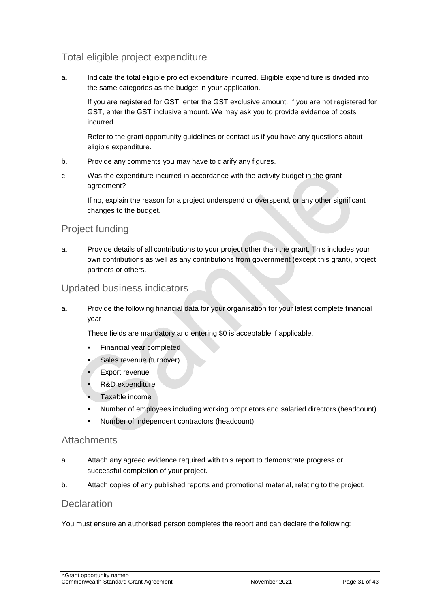## Total eligible project expenditure

a. Indicate the total eligible project expenditure incurred. Eligible expenditure is divided into the same categories as the budget in your application.

If you are registered for GST, enter the GST exclusive amount. If you are not registered for GST, enter the GST inclusive amount. We may ask you to provide evidence of costs incurred.

Refer to the grant opportunity guidelines or contact us if you have any questions about eligible expenditure.

- b. Provide any comments you may have to clarify any figures.
- c. Was the expenditure incurred in accordance with the activity budget in the grant agreement?

If no, explain the reason for a project underspend or overspend, or any other significant changes to the budget.

#### Project funding

a. Provide details of all contributions to your project other than the grant. This includes your own contributions as well as any contributions from government (except this grant), project partners or others.

#### Updated business indicators

a. Provide the following financial data for your organisation for your latest complete financial year

These fields are mandatory and entering \$0 is acceptable if applicable.

- Financial year completed
- Sales revenue (turnover)
- Export revenue
- R&D expenditure
- Taxable income
- Number of employees including working proprietors and salaried directors (headcount)
- Number of independent contractors (headcount)

#### **Attachments**

- a. Attach any agreed evidence required with this report to demonstrate progress or successful completion of your project.
- b. Attach copies of any published reports and promotional material, relating to the project.

#### **Declaration**

You must ensure an authorised person completes the report and can declare the following: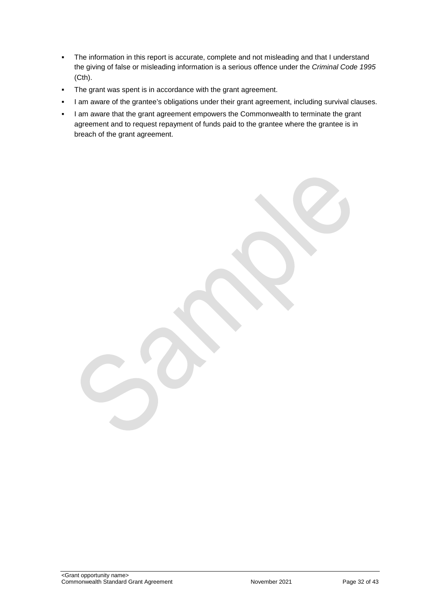- The information in this report is accurate, complete and not misleading and that I understand the giving of false or misleading information is a serious offence under the *Criminal Code 1995* (Cth).
- The grant was spent is in accordance with the grant agreement.
- I am aware of the grantee's obligations under their grant agreement, including survival clauses.
- I am aware that the grant agreement empowers the Commonwealth to terminate the grant agreement and to request repayment of funds paid to the grantee where the grantee is in breach of the grant agreement.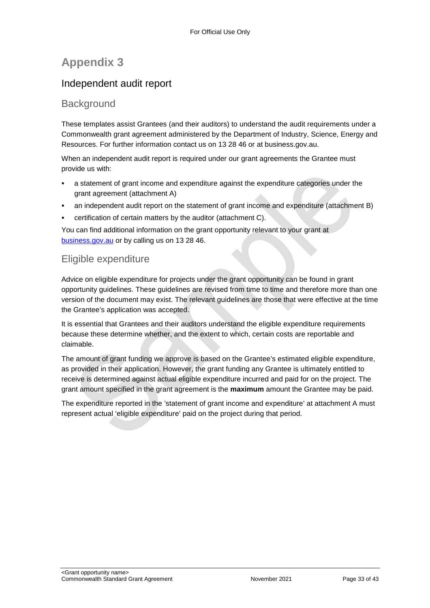## **Appendix 3**

## Independent audit report

#### **Background**

These templates assist Grantees (and their auditors) to understand the audit requirements under a Commonwealth grant agreement administered by the Department of Industry, Science, Energy and Resources. For further information contact us on 13 28 46 or at business.gov.au.

When an independent audit report is required under our grant agreements the Grantee must provide us with:

- a statement of grant income and expenditure against the expenditure categories under the grant agreement (attachment A)
- an independent audit report on the statement of grant income and expenditure (attachment B)
- certification of certain matters by the auditor (attachment C).

You can find additional information on the grant opportunity relevant to your grant at [business.gov.au](https://www.business.gov.au/) or by calling us on 13 28 46.

### Eligible expenditure

Advice on eligible expenditure for projects under the grant opportunity can be found in grant opportunity guidelines. These guidelines are revised from time to time and therefore more than one version of the document may exist. The relevant guidelines are those that were effective at the time the Grantee's application was accepted.

It is essential that Grantees and their auditors understand the eligible expenditure requirements because these determine whether, and the extent to which, certain costs are reportable and claimable.

The amount of grant funding we approve is based on the Grantee's estimated eligible expenditure, as provided in their application. However, the grant funding any Grantee is ultimately entitled to receive is determined against actual eligible expenditure incurred and paid for on the project. The grant amount specified in the grant agreement is the **maximum** amount the Grantee may be paid.

The expenditure reported in the 'statement of grant income and expenditure' at attachment A must represent actual 'eligible expenditure' paid on the project during that period.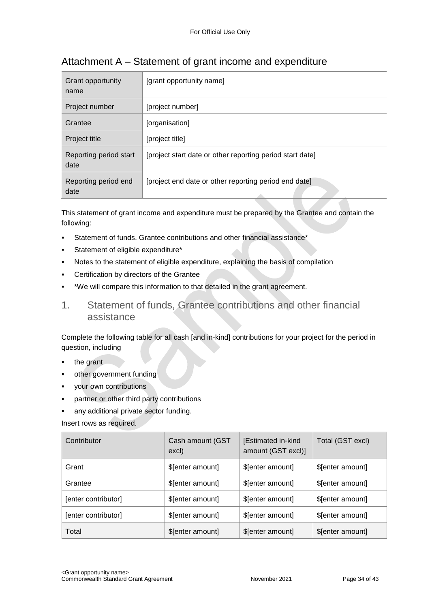| Grant opportunity<br>name      | [grant opportunity name]                                  |
|--------------------------------|-----------------------------------------------------------|
| Project number                 | [project number]                                          |
| Grantee                        | [organisation]                                            |
| Project title                  | [project title]                                           |
| Reporting period start<br>date | [project start date or other reporting period start date] |
| Reporting period end<br>date   | [project end date or other reporting period end date]     |

## Attachment A – Statement of grant income and expenditure

This statement of grant income and expenditure must be prepared by the Grantee and contain the following:

- Statement of funds, Grantee contributions and other financial assistance\*
- Statement of eligible expenditure\*
- Notes to the statement of eligible expenditure, explaining the basis of compilation
- Certification by directors of the Grantee
- \*We will compare this information to that detailed in the grant agreement.
- 1. Statement of funds, Grantee contributions and other financial assistance

Complete the following table for all cash [and in-kind] contributions for your project for the period in question, including

- the grant
- other government funding
- your own contributions
- partner or other third party contributions
- any additional private sector funding.

Insert rows as required.

| Contributor         | Cash amount (GST<br>excl) | [Estimated in-kind<br>amount (GST excl)] | Total (GST excl) |
|---------------------|---------------------------|------------------------------------------|------------------|
| Grant               | \$[enter amount]          | \$[enter amount]                         | \$[enter amount] |
| Grantee             | \$[enter amount]          | \$[enter amount]                         | \$[enter amount] |
| [enter contributor] | \$[enter amount]          | \$[enter amount]                         | \$[enter amount] |
| [enter contributor] | \$[enter amount]          | \$[enter amount]                         | \$[enter amount] |
| Total               | \$[enter amount]          | \$[enter amount]                         | \$[enter amount] |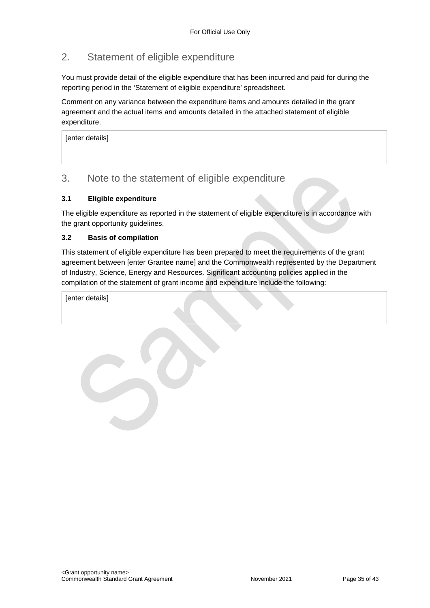## 2. Statement of eligible expenditure

You must provide detail of the eligible expenditure that has been incurred and paid for during the reporting period in the 'Statement of eligible expenditure' spreadsheet.

Comment on any variance between the expenditure items and amounts detailed in the grant agreement and the actual items and amounts detailed in the attached statement of eligible expenditure.

[enter details]

#### 3. Note to the statement of eligible expenditure

#### **3.1 Eligible expenditure**

The eligible expenditure as reported in the statement of eligible expenditure is in accordance with the grant opportunity guidelines.

#### **3.2 Basis of compilation**

This statement of eligible expenditure has been prepared to meet the requirements of the grant agreement between [enter Grantee name] and the Commonwealth represented by the Department of Industry, Science, Energy and Resources. Significant accounting policies applied in the compilation of the statement of grant income and expenditure include the following:

[enter details]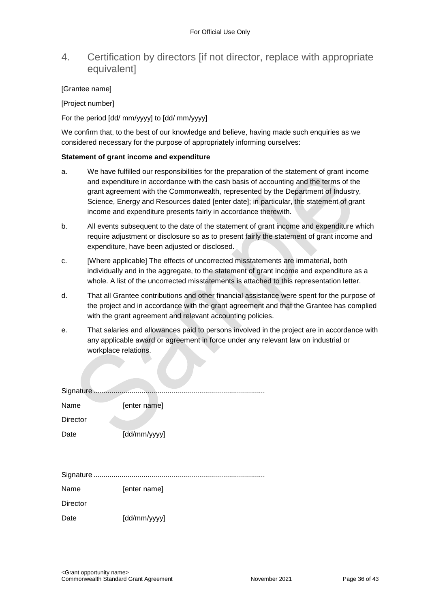### 4. Certification by directors [if not director, replace with appropriate **equivalentl**

#### [Grantee name]

[Project number]

For the period [dd/ mm/yyyy] to [dd/ mm/yyyy]

We confirm that, to the best of our knowledge and believe, having made such enquiries as we considered necessary for the purpose of appropriately informing ourselves:

#### **Statement of grant income and expenditure**

- a. We have fulfilled our responsibilities for the preparation of the statement of grant income and expenditure in accordance with the cash basis of accounting and the terms of the grant agreement with the Commonwealth, represented by the Department of Industry, Science, Energy and Resources dated [enter date]; in particular, the statement of grant income and expenditure presents fairly in accordance therewith.
- b. All events subsequent to the date of the statement of grant income and expenditure which require adjustment or disclosure so as to present fairly the statement of grant income and expenditure, have been adjusted or disclosed.
- c. [Where applicable] The effects of uncorrected misstatements are immaterial, both individually and in the aggregate, to the statement of grant income and expenditure as a whole. A list of the uncorrected misstatements is attached to this representation letter.
- d. That all Grantee contributions and other financial assistance were spent for the purpose of the project and in accordance with the grant agreement and that the Grantee has complied with the grant agreement and relevant accounting policies.
- e. That salaries and allowances paid to persons involved in the project are in accordance with any applicable award or agreement in force under any relevant law on industrial or workplace relations.

| Signature       |              |
|-----------------|--------------|
| Name            | [enter name] |
| <b>Director</b> |              |
| Date            | [dd/mm/yyyy] |
|                 |              |
|                 |              |
|                 |              |
| Name            | [enter name] |
| <b>Director</b> |              |
| Date            | [dd/mm/yyyy] |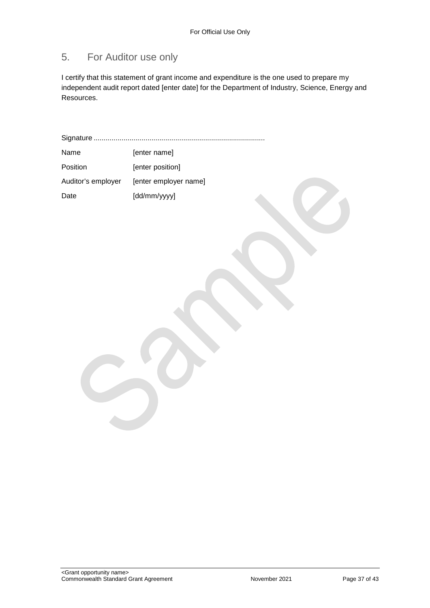## 5. For Auditor use only

I certify that this statement of grant income and expenditure is the one used to prepare my independent audit report dated [enter date] for the Department of Industry, Science, Energy and Resources.

Signature ...................................................................................... Name [enter name]

| <b>Position</b>    | [enter position]      |
|--------------------|-----------------------|
| Auditor's employer | [enter employer name] |
| Date               | [dd/mm/yyyy]          |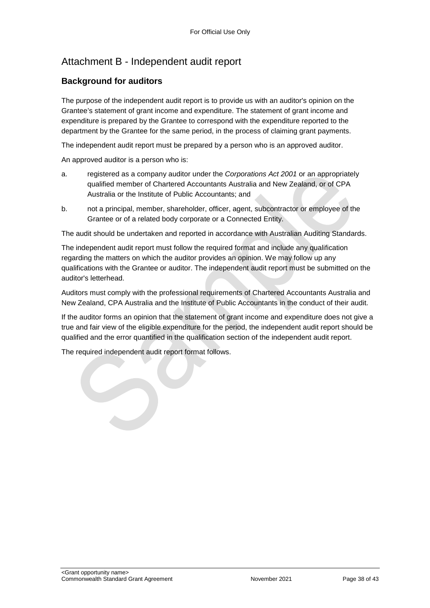## Attachment B - Independent audit report

#### **Background for auditors**

The purpose of the independent audit report is to provide us with an auditor's opinion on the Grantee's statement of grant income and expenditure. The statement of grant income and expenditure is prepared by the Grantee to correspond with the expenditure reported to the department by the Grantee for the same period, in the process of claiming grant payments.

The independent audit report must be prepared by a person who is an approved auditor.

An approved auditor is a person who is:

- a. registered as a company auditor under the *Corporations Act 2001* or an appropriately qualified member of Chartered Accountants Australia and New Zealand, or of CPA Australia or the Institute of Public Accountants; and
- b. not a principal, member, shareholder, officer, agent, subcontractor or employee of the Grantee or of a related body corporate or a Connected Entity.

The audit should be undertaken and reported in accordance with Australian Auditing Standards.

The independent audit report must follow the required format and include any qualification regarding the matters on which the auditor provides an opinion. We may follow up any qualifications with the Grantee or auditor. The independent audit report must be submitted on the auditor's letterhead.

Auditors must comply with the professional requirements of Chartered Accountants Australia and New Zealand, CPA Australia and the Institute of Public Accountants in the conduct of their audit.

If the auditor forms an opinion that the statement of grant income and expenditure does not give a true and fair view of the eligible expenditure for the period, the independent audit report should be qualified and the error quantified in the qualification section of the independent audit report.

The required independent audit report format follows.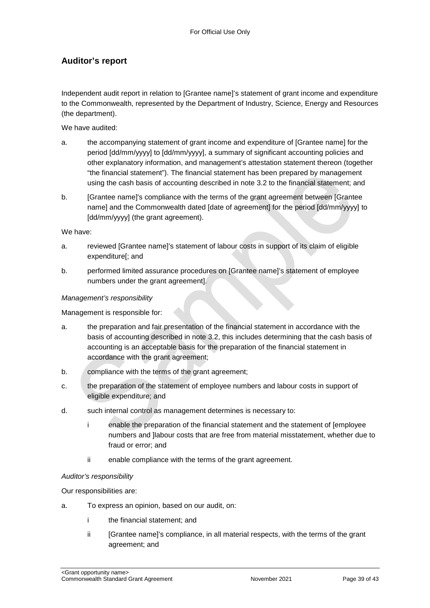#### **Auditor's report**

Independent audit report in relation to [Grantee name]'s statement of grant income and expenditure to the Commonwealth, represented by the Department of Industry, Science, Energy and Resources (the department).

We have audited:

- a. the accompanying statement of grant income and expenditure of [Grantee name] for the period [dd/mm/yyyy] to [dd/mm/yyyy], a summary of significant accounting policies and other explanatory information, and management's attestation statement thereon (together "the financial statement"). The financial statement has been prepared by management using the cash basis of accounting described in note 3.2 to the financial statement; and
- b. [Grantee name]'s compliance with the terms of the grant agreement between [Grantee name] and the Commonwealth dated [date of agreement] for the period [dd/mm/yyyy] to [dd/mm/yyyy] (the grant agreement).

We have:

- a. reviewed [Grantee name]'s statement of labour costs in support of its claim of eligible expenditure[; and
- b. performed limited assurance procedures on [Grantee name]'s statement of employee numbers under the grant agreement].

#### *Management's responsibility*

Management is responsible for:

- a. the preparation and fair presentation of the financial statement in accordance with the basis of accounting described in note 3.2, this includes determining that the cash basis of accounting is an acceptable basis for the preparation of the financial statement in accordance with the grant agreement;
- b. compliance with the terms of the grant agreement;
- c. the preparation of the statement of employee numbers and labour costs in support of eligible expenditure; and
- d. such internal control as management determines is necessary to:
	- i enable the preparation of the financial statement and the statement of [employee numbers and ]labour costs that are free from material misstatement, whether due to fraud or error; and
	- ii enable compliance with the terms of the grant agreement.

#### *Auditor's responsibility*

Our responsibilities are:

- a. To express an opinion, based on our audit, on:
	- i the financial statement; and
	- ii [Grantee name]'s compliance, in all material respects, with the terms of the grant agreement; and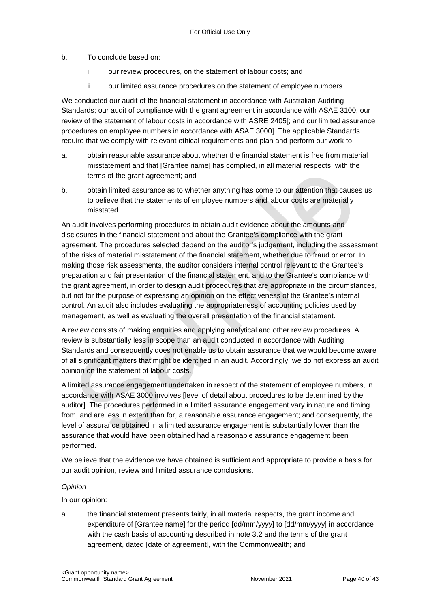b. To conclude based on:

- i our review procedures, on the statement of labour costs; and
- ii our limited assurance procedures on the statement of employee numbers.

We conducted our audit of the financial statement in accordance with Australian Auditing Standards; our audit of compliance with the grant agreement in accordance with ASAE 3100, our review of the statement of labour costs in accordance with ASRE 2405[; and our limited assurance procedures on employee numbers in accordance with ASAE 3000]. The applicable Standards require that we comply with relevant ethical requirements and plan and perform our work to:

- a. obtain reasonable assurance about whether the financial statement is free from material misstatement and that [Grantee name] has complied, in all material respects, with the terms of the grant agreement; and
- b. obtain limited assurance as to whether anything has come to our attention that causes us to believe that the statements of employee numbers and labour costs are materially misstated.

An audit involves performing procedures to obtain audit evidence about the amounts and disclosures in the financial statement and about the Grantee's compliance with the grant agreement. The procedures selected depend on the auditor's judgement, including the assessment of the risks of material misstatement of the financial statement, whether due to fraud or error. In making those risk assessments, the auditor considers internal control relevant to the Grantee's preparation and fair presentation of the financial statement, and to the Grantee's compliance with the grant agreement, in order to design audit procedures that are appropriate in the circumstances, but not for the purpose of expressing an opinion on the effectiveness of the Grantee's internal control. An audit also includes evaluating the appropriateness of accounting policies used by management, as well as evaluating the overall presentation of the financial statement.

A review consists of making enquiries and applying analytical and other review procedures. A review is substantially less in scope than an audit conducted in accordance with Auditing Standards and consequently does not enable us to obtain assurance that we would become aware of all significant matters that might be identified in an audit. Accordingly, we do not express an audit opinion on the statement of labour costs.

A limited assurance engagement undertaken in respect of the statement of employee numbers, in accordance with ASAE 3000 involves [level of detail about procedures to be determined by the auditor]. The procedures performed in a limited assurance engagement vary in nature and timing from, and are less in extent than for, a reasonable assurance engagement; and consequently, the level of assurance obtained in a limited assurance engagement is substantially lower than the assurance that would have been obtained had a reasonable assurance engagement been performed.

We believe that the evidence we have obtained is sufficient and appropriate to provide a basis for our audit opinion, review and limited assurance conclusions.

#### *Opinion*

In our opinion:

a. the financial statement presents fairly, in all material respects, the grant income and expenditure of [Grantee name] for the period [dd/mm/yyyy] to [dd/mm/yyyy] in accordance with the cash basis of accounting described in note 3.2 and the terms of the grant agreement, dated [date of agreement], with the Commonwealth; and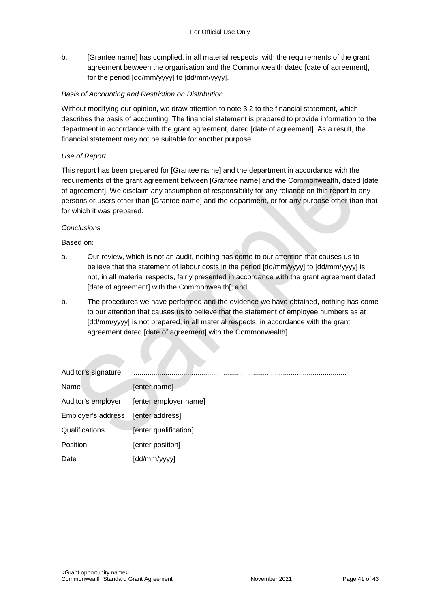b. [Grantee name] has complied, in all material respects, with the requirements of the grant agreement between the organisation and the Commonwealth dated [date of agreement], for the period [dd/mm/yyyy] to [dd/mm/yyyy].

#### *Basis of Accounting and Restriction on Distribution*

Without modifying our opinion, we draw attention to note 3.2 to the financial statement, which describes the basis of accounting. The financial statement is prepared to provide information to the department in accordance with the grant agreement, dated [date of agreement]. As a result, the financial statement may not be suitable for another purpose.

#### *Use of Report*

This report has been prepared for [Grantee name] and the department in accordance with the requirements of the grant agreement between [Grantee name] and the Commonwealth, dated [date of agreement]. We disclaim any assumption of responsibility for any reliance on this report to any persons or users other than [Grantee name] and the department, or for any purpose other than that for which it was prepared.

#### *Conclusions*

Based on:

- a. Our review, which is not an audit, nothing has come to our attention that causes us to believe that the statement of labour costs in the period [dd/mm/yyyy] to [dd/mm/yyyy] is not, in all material respects, fairly presented in accordance with the grant agreement dated [date of agreement] with the Commonwealth[; and
- b. The procedures we have performed and the evidence we have obtained, nothing has come to our attention that causes us to believe that the statement of employee numbers as at [dd/mm/yyyy] is not prepared, in all material respects, in accordance with the grant agreement dated [date of agreement] with the Commonwealth].

| Auditor's signature |                       |
|---------------------|-----------------------|
| Name                | [enter name]          |
| Auditor's employer  | [enter employer name] |
| Employer's address  | [enter address]       |
| Qualifications      | [enter qualification] |
| Position            | [enter position]      |
| Date                | [dd/mm/yyyy]          |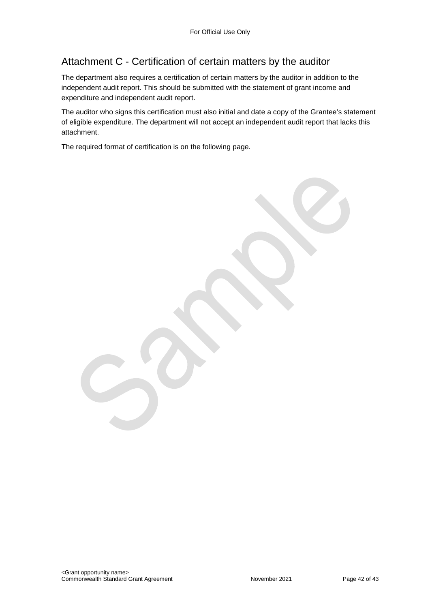## Attachment C - Certification of certain matters by the auditor

The department also requires a certification of certain matters by the auditor in addition to the independent audit report. This should be submitted with the statement of grant income and expenditure and independent audit report.

The auditor who signs this certification must also initial and date a copy of the Grantee's statement of eligible expenditure. The department will not accept an independent audit report that lacks this attachment.

The required format of certification is on the following page.